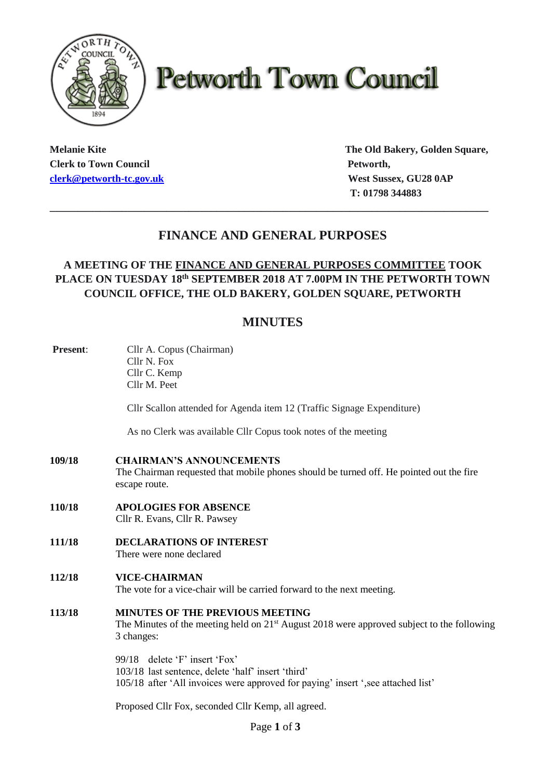

# **Petworth Town Council**

**Clerk to Town Council Petworth, Petworth, [clerk@petworth-tc.gov.uk](mailto:clerk@petworth-tc.gov.uk) West Sussex, GU28 0AP**

**Melanie Kite The Old Bakery, Golden Square, T: 01798 344883**

# **FINANCE AND GENERAL PURPOSES**

**\_\_\_\_\_\_\_\_\_\_\_\_\_\_\_\_\_\_\_\_\_\_\_\_\_\_\_\_\_\_\_\_\_\_\_\_\_\_\_\_\_\_\_\_\_\_\_\_\_\_\_\_\_\_\_\_\_\_\_\_\_\_\_\_\_\_\_\_\_\_\_\_\_\_\_\_\_\_\_**

## **A MEETING OF THE FINANCE AND GENERAL PURPOSES COMMITTEE TOOK PLACE ON TUESDAY 18 th SEPTEMBER 2018 AT 7.00PM IN THE PETWORTH TOWN COUNCIL OFFICE, THE OLD BAKERY, GOLDEN SQUARE, PETWORTH**

# **MINUTES**

| Present: | Cllr A. Copus (Chairman)<br>Cllr N. Fox<br>Cllr C. Kemp<br>Cllr M. Peet                                                                                                  |
|----------|--------------------------------------------------------------------------------------------------------------------------------------------------------------------------|
|          | Cllr Scallon attended for Agenda item 12 (Traffic Signage Expenditure)                                                                                                   |
|          | As no Clerk was available Cllr Copus took notes of the meeting                                                                                                           |
| 109/18   | <b>CHAIRMAN'S ANNOUNCEMENTS</b><br>The Chairman requested that mobile phones should be turned off. He pointed out the fire<br>escape route.                              |
| 110/18   | <b>APOLOGIES FOR ABSENCE</b><br>Cllr R. Evans, Cllr R. Pawsey                                                                                                            |
| 111/18   | <b>DECLARATIONS OF INTEREST</b><br>There were none declared                                                                                                              |
| 112/18   | <b>VICE-CHAIRMAN</b><br>The vote for a vice-chair will be carried forward to the next meeting.                                                                           |
| 113/18   | <b>MINUTES OF THE PREVIOUS MEETING</b><br>The Minutes of the meeting held on $21st$ August 2018 were approved subject to the following<br>3 changes:                     |
|          | 99/18 delete 'F' insert 'Fox'<br>103/18 last sentence, delete 'half' insert 'third'<br>105/18 after 'All invoices were approved for paying' insert ', see attached list' |
|          | Proposed Cllr Fox, seconded Cllr Kemp, all agreed.                                                                                                                       |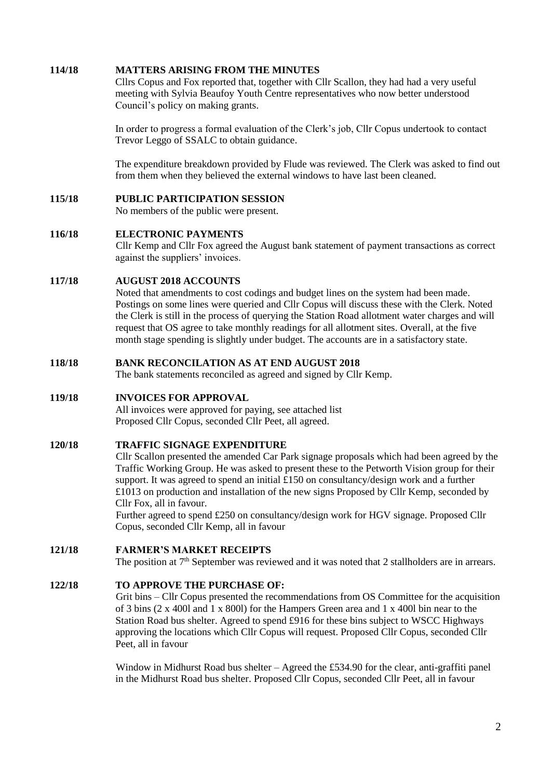#### **114/18 MATTERS ARISING FROM THE MINUTES**

Cllrs Copus and Fox reported that, together with Cllr Scallon, they had had a very useful meeting with Sylvia Beaufoy Youth Centre representatives who now better understood Council's policy on making grants.

In order to progress a formal evaluation of the Clerk's job, Cllr Copus undertook to contact Trevor Leggo of SSALC to obtain guidance.

The expenditure breakdown provided by Flude was reviewed. The Clerk was asked to find out from them when they believed the external windows to have last been cleaned.

#### **115/18 PUBLIC PARTICIPATION SESSION**

No members of the public were present.

#### **116/18 ELECTRONIC PAYMENTS**

Cllr Kemp and Cllr Fox agreed the August bank statement of payment transactions as correct against the suppliers' invoices.

#### **117/18 AUGUST 2018 ACCOUNTS**

Noted that amendments to cost codings and budget lines on the system had been made. Postings on some lines were queried and Cllr Copus will discuss these with the Clerk. Noted the Clerk is still in the process of querying the Station Road allotment water charges and will request that OS agree to take monthly readings for all allotment sites. Overall, at the five month stage spending is slightly under budget. The accounts are in a satisfactory state.

#### **118/18 BANK RECONCILATION AS AT END AUGUST 2018**

The bank statements reconciled as agreed and signed by Cllr Kemp.

### **119/18 INVOICES FOR APPROVAL**

All invoices were approved for paying, see attached list Proposed Cllr Copus, seconded Cllr Peet, all agreed.

#### **120/18 TRAFFIC SIGNAGE EXPENDITURE**

Cllr Scallon presented the amended Car Park signage proposals which had been agreed by the Traffic Working Group. He was asked to present these to the Petworth Vision group for their support. It was agreed to spend an initial £150 on consultancy/design work and a further £1013 on production and installation of the new signs Proposed by Cllr Kemp, seconded by Cllr Fox, all in favour.

Further agreed to spend £250 on consultancy/design work for HGV signage. Proposed Cllr Copus, seconded Cllr Kemp, all in favour

**121/18 FARMER'S MARKET RECEIPTS**

The position at  $7<sup>th</sup>$  September was reviewed and it was noted that 2 stallholders are in arrears.

## **122/18 TO APPROVE THE PURCHASE OF:**

Grit bins – Cllr Copus presented the recommendations from OS Committee for the acquisition of 3 bins (2 x 400l and 1 x 800l) for the Hampers Green area and 1 x 400l bin near to the Station Road bus shelter. Agreed to spend £916 for these bins subject to WSCC Highways approving the locations which Cllr Copus will request. Proposed Cllr Copus, seconded Cllr Peet, all in favour

Window in Midhurst Road bus shelter – Agreed the £534.90 for the clear, anti-graffiti panel in the Midhurst Road bus shelter. Proposed Cllr Copus, seconded Cllr Peet, all in favour